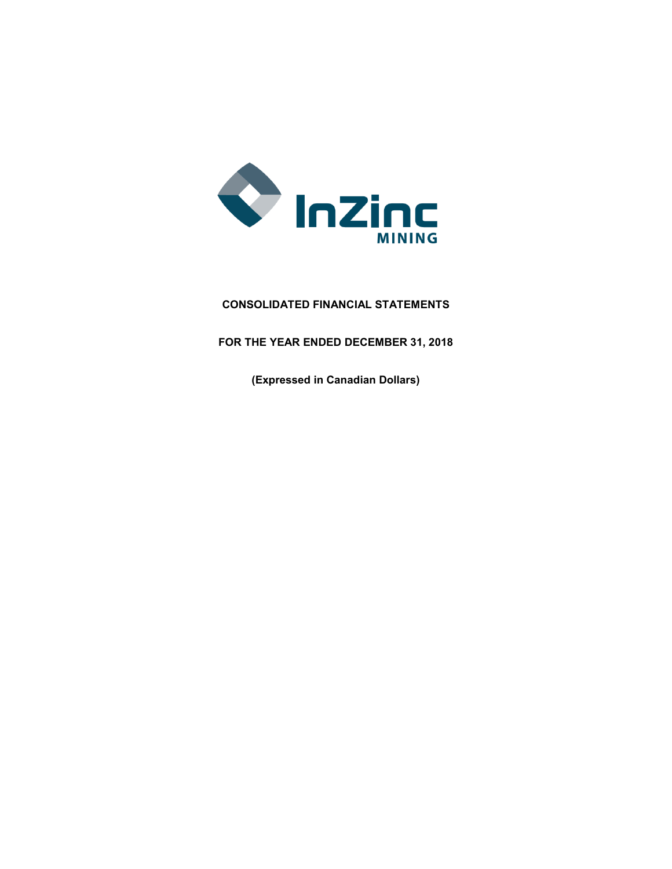

# **CONSOLIDATED FINANCIAL STATEMENTS**

**FOR THE YEAR ENDED DECEMBER 31, 2018**

**(Expressed in Canadian Dollars)**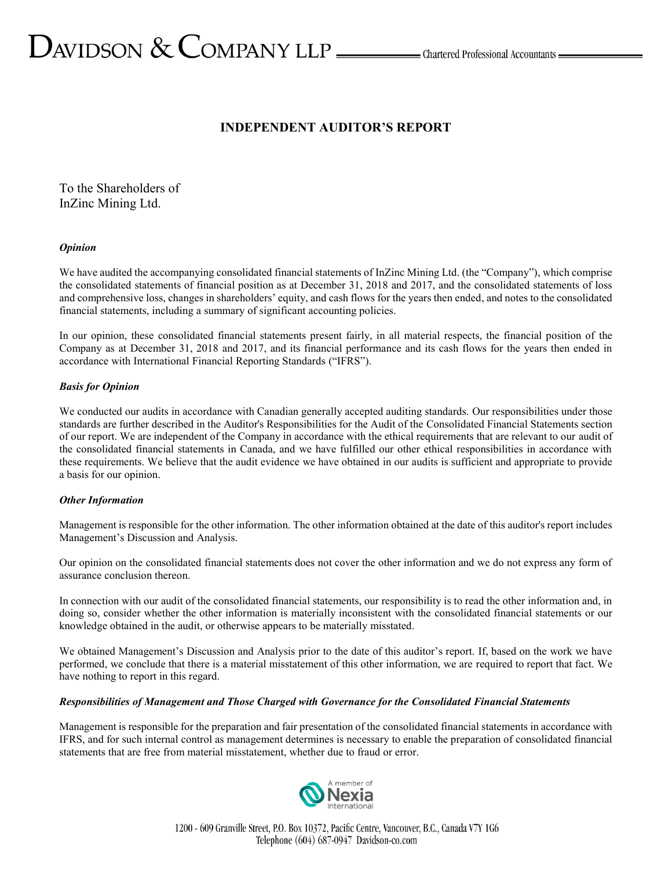# $D_{\text{AVIDSON}} \ \&\ \text{COMPANY LLP} \_\text{\tiny{LIP}}$  Chartered Professional Accountants  $D_{\text{AVIDSON}}$

# **INDEPENDENT AUDITOR'S REPORT**

To the Shareholders of InZinc Mining Ltd.

## *Opinion*

We have audited the accompanying consolidated financial statements of InZinc Mining Ltd. (the "Company"), which comprise the consolidated statements of financial position as at December 31, 2018 and 2017, and the consolidated statements of loss and comprehensive loss, changes in shareholders' equity, and cash flows for the years then ended, and notes to the consolidated financial statements, including a summary of significant accounting policies.

In our opinion, these consolidated financial statements present fairly, in all material respects, the financial position of the Company as at December 31, 2018 and 2017, and its financial performance and its cash flows for the years then ended in accordance with International Financial Reporting Standards ("IFRS").

## *Basis for Opinion*

We conducted our audits in accordance with Canadian generally accepted auditing standards. Our responsibilities under those standards are further described in the Auditor's Responsibilities for the Audit of the Consolidated Financial Statements section of our report. We are independent of the Company in accordance with the ethical requirements that are relevant to our audit of the consolidated financial statements in Canada, and we have fulfilled our other ethical responsibilities in accordance with these requirements. We believe that the audit evidence we have obtained in our audits is sufficient and appropriate to provide a basis for our opinion.

#### *Other Information*

Management is responsible for the other information. The other information obtained at the date of this auditor's report includes Management's Discussion and Analysis.

Our opinion on the consolidated financial statements does not cover the other information and we do not express any form of assurance conclusion thereon.

In connection with our audit of the consolidated financial statements, our responsibility is to read the other information and, in doing so, consider whether the other information is materially inconsistent with the consolidated financial statements or our knowledge obtained in the audit, or otherwise appears to be materially misstated.

We obtained Management's Discussion and Analysis prior to the date of this auditor's report. If, based on the work we have performed, we conclude that there is a material misstatement of this other information, we are required to report that fact. We have nothing to report in this regard.

#### *Responsibilities of Management and Those Charged with Governance for the Consolidated Financial Statements*

Management is responsible for the preparation and fair presentation of the consolidated financial statements in accordance with IFRS, and for such internal control as management determines is necessary to enable the preparation of consolidated financial statements that are free from material misstatement, whether due to fraud or error.

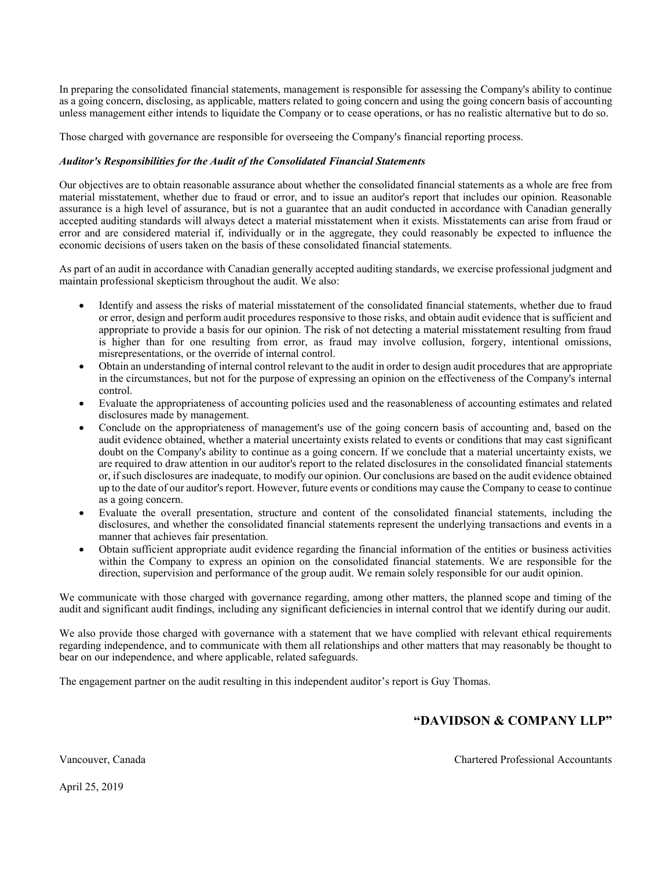In preparing the consolidated financial statements, management is responsible for assessing the Company's ability to continue as a going concern, disclosing, as applicable, matters related to going concern and using the going concern basis of accounting unless management either intends to liquidate the Company or to cease operations, or has no realistic alternative but to do so.

Those charged with governance are responsible for overseeing the Company's financial reporting process.

#### *Auditor's Responsibilities for the Audit of the Consolidated Financial Statements*

Our objectives are to obtain reasonable assurance about whether the consolidated financial statements as a whole are free from material misstatement, whether due to fraud or error, and to issue an auditor's report that includes our opinion. Reasonable assurance is a high level of assurance, but is not a guarantee that an audit conducted in accordance with Canadian generally accepted auditing standards will always detect a material misstatement when it exists. Misstatements can arise from fraud or error and are considered material if, individually or in the aggregate, they could reasonably be expected to influence the economic decisions of users taken on the basis of these consolidated financial statements.

As part of an audit in accordance with Canadian generally accepted auditing standards, we exercise professional judgment and maintain professional skepticism throughout the audit. We also:

- Identify and assess the risks of material misstatement of the consolidated financial statements, whether due to fraud or error, design and perform audit procedures responsive to those risks, and obtain audit evidence that is sufficient and appropriate to provide a basis for our opinion. The risk of not detecting a material misstatement resulting from fraud is higher than for one resulting from error, as fraud may involve collusion, forgery, intentional omissions, misrepresentations, or the override of internal control.
- Obtain an understanding of internal control relevant to the audit in order to design audit procedures that are appropriate in the circumstances, but not for the purpose of expressing an opinion on the effectiveness of the Company's internal control.
- Evaluate the appropriateness of accounting policies used and the reasonableness of accounting estimates and related disclosures made by management.
- Conclude on the appropriateness of management's use of the going concern basis of accounting and, based on the audit evidence obtained, whether a material uncertainty exists related to events or conditions that may cast significant doubt on the Company's ability to continue as a going concern. If we conclude that a material uncertainty exists, we are required to draw attention in our auditor's report to the related disclosures in the consolidated financial statements or, if such disclosures are inadequate, to modify our opinion. Our conclusions are based on the audit evidence obtained up to the date of our auditor's report. However, future events or conditions may cause the Company to cease to continue as a going concern.
- Evaluate the overall presentation, structure and content of the consolidated financial statements, including the disclosures, and whether the consolidated financial statements represent the underlying transactions and events in a manner that achieves fair presentation.
- Obtain sufficient appropriate audit evidence regarding the financial information of the entities or business activities within the Company to express an opinion on the consolidated financial statements. We are responsible for the direction, supervision and performance of the group audit. We remain solely responsible for our audit opinion.

We communicate with those charged with governance regarding, among other matters, the planned scope and timing of the audit and significant audit findings, including any significant deficiencies in internal control that we identify during our audit.

We also provide those charged with governance with a statement that we have complied with relevant ethical requirements regarding independence, and to communicate with them all relationships and other matters that may reasonably be thought to bear on our independence, and where applicable, related safeguards.

The engagement partner on the audit resulting in this independent auditor's report is Guy Thomas.

# **"DAVIDSON & COMPANY LLP"**

Vancouver, Canada Chartered Professional Accountants

April 25, 2019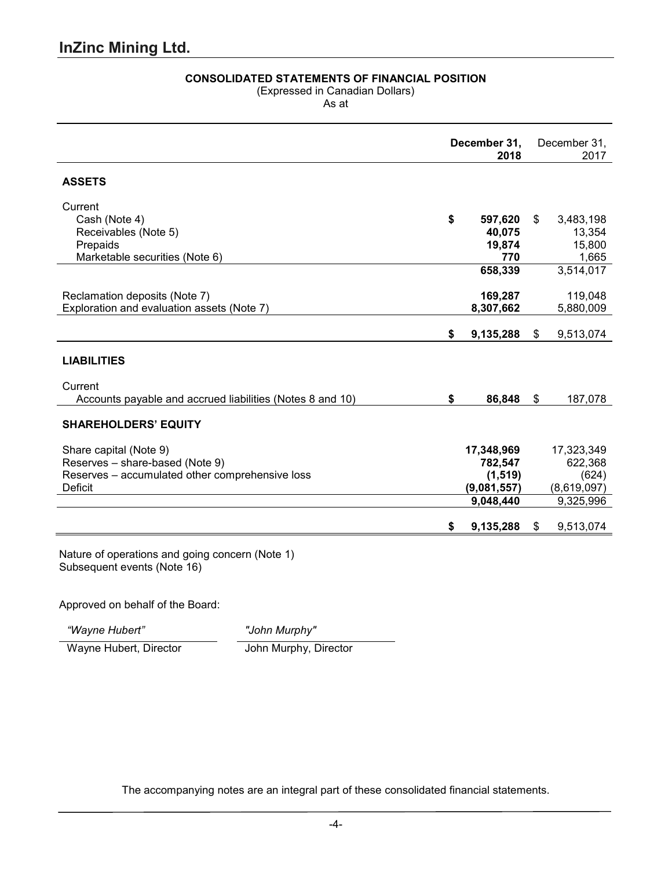## **CONSOLIDATED STATEMENTS OF FINANCIAL POSITION**

(Expressed in Canadian Dollars)

As at

|                                                           |    | December 31.<br>2018 |                | December 31.<br>2017 |
|-----------------------------------------------------------|----|----------------------|----------------|----------------------|
| <b>ASSETS</b>                                             |    |                      |                |                      |
| Current                                                   |    |                      |                |                      |
| Cash (Note 4)                                             | \$ | 597,620              | $\$\$          | 3,483,198            |
| Receivables (Note 5)<br>Prepaids                          |    | 40,075<br>19,874     |                | 13,354<br>15,800     |
| Marketable securities (Note 6)                            |    | 770                  |                | 1,665                |
|                                                           |    | 658,339              |                | 3,514,017            |
| Reclamation deposits (Note 7)                             |    | 169,287              |                | 119,048              |
| Exploration and evaluation assets (Note 7)                |    | 8,307,662            |                | 5,880,009            |
|                                                           | \$ | 9,135,288            | \$             | 9,513,074            |
| <b>LIABILITIES</b>                                        |    |                      |                |                      |
| Current                                                   |    |                      |                |                      |
| Accounts payable and accrued liabilities (Notes 8 and 10) | \$ | 86,848               | $\mathfrak{S}$ | 187,078              |
| <b>SHAREHOLDERS' EQUITY</b>                               |    |                      |                |                      |
| Share capital (Note 9)                                    |    | 17,348,969           |                | 17,323,349           |
| Reserves - share-based (Note 9)                           |    | 782,547              |                | 622,368              |
| Reserves - accumulated other comprehensive loss           |    | (1, 519)             |                | (624)                |
| <b>Deficit</b>                                            |    | (9,081,557)          |                | (8,619,097)          |
|                                                           |    | 9,048,440            |                | 9,325,996            |
|                                                           | S  | 9,135,288            | \$             | 9,513,074            |
|                                                           |    |                      |                |                      |

Nature of operations and going concern (Note 1) Subsequent events (Note 16)

Approved on behalf of the Board:

*"Wayne Hubert" "John Murphy"*

Wayne Hubert, Director John Murphy, Director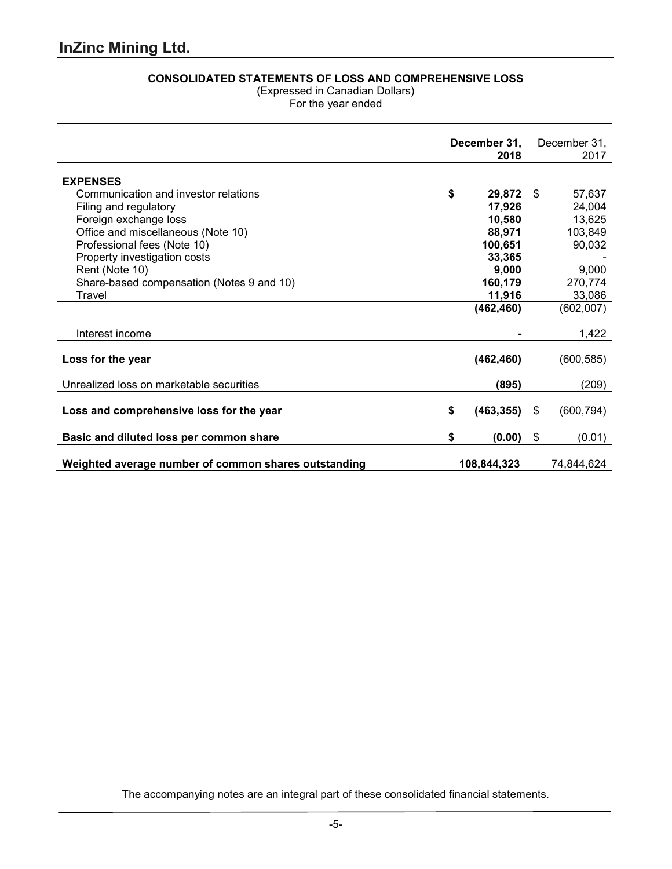# **CONSOLIDATED STATEMENTS OF LOSS AND COMPREHENSIVE LOSS**

(Expressed in Canadian Dollars)

For the year ended

|                                                      |    | December 31,<br>2018 |     | December 31,<br>2017 |
|------------------------------------------------------|----|----------------------|-----|----------------------|
| <b>EXPENSES</b>                                      |    |                      |     |                      |
| Communication and investor relations                 | \$ | 29,872               | \$. | 57,637               |
| Filing and regulatory                                |    | 17,926               |     | 24,004               |
| Foreign exchange loss                                |    | 10,580               |     | 13,625               |
| Office and miscellaneous (Note 10)                   |    | 88,971               |     | 103,849              |
| Professional fees (Note 10)                          |    | 100,651              |     | 90,032               |
| Property investigation costs                         |    | 33,365               |     |                      |
| Rent (Note 10)                                       |    | 9,000                |     | 9,000                |
| Share-based compensation (Notes 9 and 10)            |    | 160,179              |     | 270,774              |
| Travel                                               |    | 11,916               |     | 33,086               |
|                                                      |    |                      |     |                      |
|                                                      |    | (462, 460)           |     | (602,007)            |
| Interest income                                      |    |                      |     | 1,422                |
| Loss for the year                                    |    | (462, 460)           |     | (600, 585)           |
| Unrealized loss on marketable securities             |    | (895)                |     | (209)                |
| Loss and comprehensive loss for the year             | S  | (463, 355)           | \$  | (600, 794)           |
| Basic and diluted loss per common share              | \$ | (0.00)               | \$  | (0.01)               |
| Weighted average number of common shares outstanding |    | 108,844,323          |     | 74,844,624           |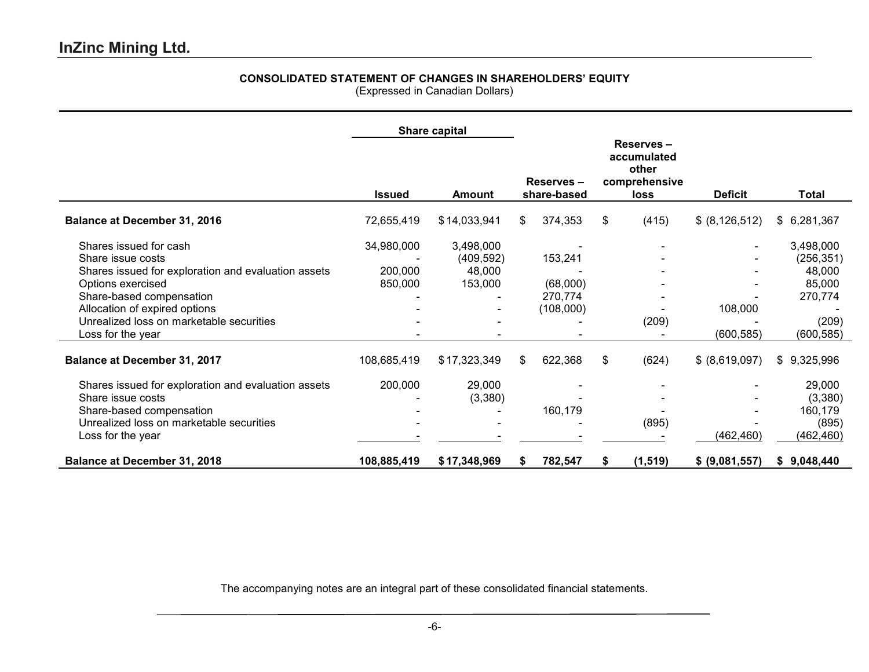# **CONSOLIDATED STATEMENT OF CHANGES IN SHAREHOLDERS' EQUITY**

(Expressed in Canadian Dollars)

|                                                                                                                                                                                                                                                       |                                  | Share capital                                |     |                                             |    |                                                            |                       |                                                                               |
|-------------------------------------------------------------------------------------------------------------------------------------------------------------------------------------------------------------------------------------------------------|----------------------------------|----------------------------------------------|-----|---------------------------------------------|----|------------------------------------------------------------|-----------------------|-------------------------------------------------------------------------------|
|                                                                                                                                                                                                                                                       | <b>Issued</b>                    | Amount                                       |     | Reserves-<br>share-based                    |    | Reserves-<br>accumulated<br>other<br>comprehensive<br>loss | <b>Deficit</b>        | <b>Total</b>                                                                  |
| <b>Balance at December 31, 2016</b>                                                                                                                                                                                                                   | 72,655,419                       | \$14,033,941                                 | \$. | 374,353                                     | \$ | (415)                                                      | \$ (8, 126, 512)      | \$6,281,367                                                                   |
| Shares issued for cash<br>Share issue costs<br>Shares issued for exploration and evaluation assets<br>Options exercised<br>Share-based compensation<br>Allocation of expired options<br>Unrealized loss on marketable securities<br>Loss for the year | 34,980,000<br>200,000<br>850,000 | 3,498,000<br>(409, 592)<br>48,000<br>153,000 |     | 153,241<br>(68,000)<br>270,774<br>(108,000) |    | (209)                                                      | 108,000<br>(600, 585) | 3,498,000<br>(256, 351)<br>48,000<br>85,000<br>270,774<br>(209)<br>(600, 585) |
| <b>Balance at December 31, 2017</b>                                                                                                                                                                                                                   | 108,685,419                      | \$17,323,349                                 | \$  | 622,368                                     | \$ | (624)                                                      | \$ (8,619,097)        | \$9,325,996                                                                   |
| Shares issued for exploration and evaluation assets<br>Share issue costs<br>Share-based compensation<br>Unrealized loss on marketable securities<br>Loss for the year                                                                                 | 200,000                          | 29,000<br>(3,380)                            |     | 160,179                                     |    | (895)                                                      | (462, 460)            | 29,000<br>(3,380)<br>160,179<br>(895)<br>(462, 460)                           |
| <b>Balance at December 31, 2018</b>                                                                                                                                                                                                                   | 108,885,419                      | \$17,348,969                                 | S   | 782,547                                     | S. | (1, 519)                                                   | \$ (9,081,557)        | \$9,048,440                                                                   |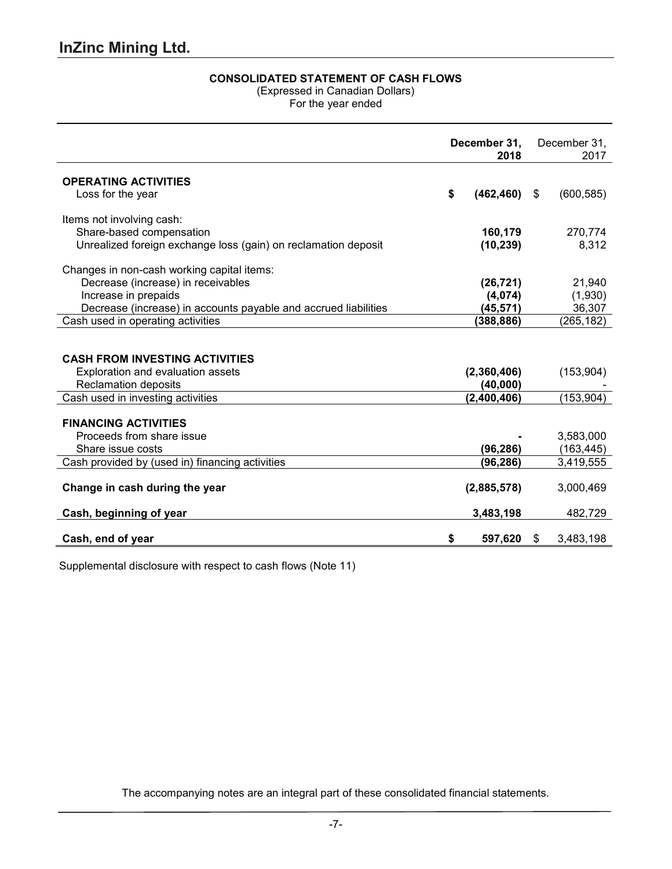# **CONSOLIDATED STATEMENT OF CASH FLOWS**

(Expressed in Canadian Dollars)

For the year ended

|                                                                                                           | December 31,<br>2018    | December 31,<br>2017 |
|-----------------------------------------------------------------------------------------------------------|-------------------------|----------------------|
| <b>OPERATING ACTIVITIES</b>                                                                               |                         |                      |
| Loss for the year                                                                                         | \$<br>(462, 460)        | \$<br>(600, 585)     |
|                                                                                                           |                         |                      |
| Items not involving cash:                                                                                 |                         |                      |
| Share-based compensation                                                                                  | 160,179                 | 270,774              |
| Unrealized foreign exchange loss (gain) on reclamation deposit                                            | (10, 239)               | 8,312                |
| Changes in non-cash working capital items:                                                                |                         |                      |
| Decrease (increase) in receivables                                                                        | (26, 721)               | 21,940               |
| Increase in prepaids                                                                                      | (4,074)                 | (1,930)              |
| Decrease (increase) in accounts payable and accrued liabilities                                           | (45, 571)               | 36,307               |
| Cash used in operating activities                                                                         | (388, 886)              | (265, 182)           |
| <b>CASH FROM INVESTING ACTIVITIES</b><br>Exploration and evaluation assets<br><b>Reclamation deposits</b> | (2,360,406)<br>(40,000) | (153, 904)           |
| Cash used in investing activities                                                                         | (2,400,406)             | (153, 904)           |
| <b>FINANCING ACTIVITIES</b>                                                                               |                         |                      |
| Proceeds from share issue                                                                                 |                         | 3,583,000            |
| Share issue costs                                                                                         | (96, 286)               | (163, 445)           |
| Cash provided by (used in) financing activities                                                           | (96, 286)               | 3,419,555            |
| Change in cash during the year                                                                            | (2,885,578)             | 3,000,469            |
| Cash, beginning of year                                                                                   | 3,483,198               | 482,729              |
| Cash, end of year                                                                                         | \$<br>597,620           | \$<br>3,483,198      |

Supplemental disclosure with respect to cash flows (Note 11)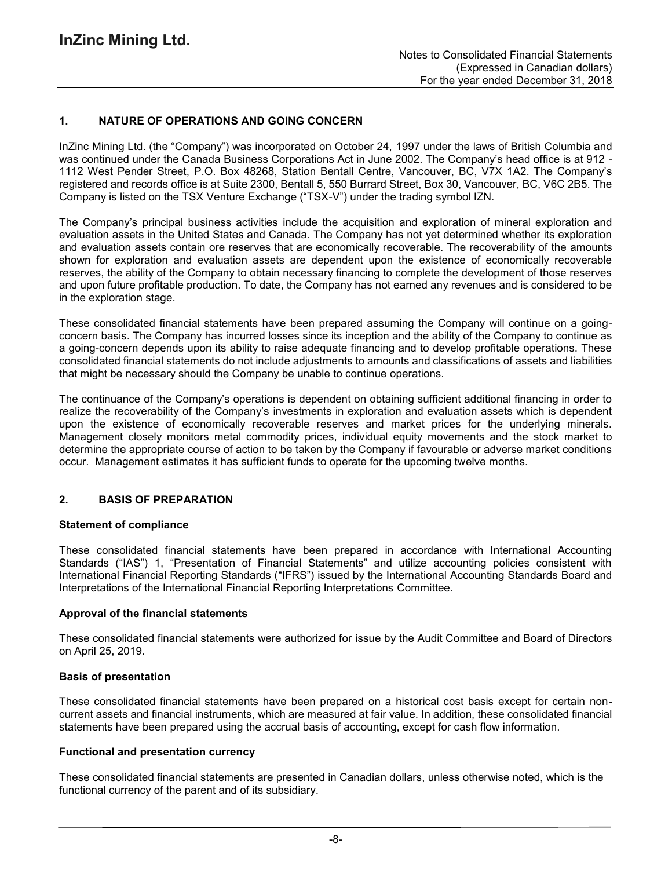## **1. NATURE OF OPERATIONS AND GOING CONCERN**

InZinc Mining Ltd. (the "Company") was incorporated on October 24, 1997 under the laws of British Columbia and was continued under the Canada Business Corporations Act in June 2002. The Company's head office is at 912 - 1112 West Pender Street, P.O. Box 48268, Station Bentall Centre, Vancouver, BC, V7X 1A2. The Company's registered and records office is at Suite 2300, Bentall 5, 550 Burrard Street, Box 30, Vancouver, BC, V6C 2B5. The Company is listed on the TSX Venture Exchange ("TSX-V") under the trading symbol IZN.

The Company's principal business activities include the acquisition and exploration of mineral exploration and evaluation assets in the United States and Canada. The Company has not yet determined whether its exploration and evaluation assets contain ore reserves that are economically recoverable. The recoverability of the amounts shown for exploration and evaluation assets are dependent upon the existence of economically recoverable reserves, the ability of the Company to obtain necessary financing to complete the development of those reserves and upon future profitable production. To date, the Company has not earned any revenues and is considered to be in the exploration stage.

These consolidated financial statements have been prepared assuming the Company will continue on a goingconcern basis. The Company has incurred losses since its inception and the ability of the Company to continue as a going-concern depends upon its ability to raise adequate financing and to develop profitable operations. These consolidated financial statements do not include adjustments to amounts and classifications of assets and liabilities that might be necessary should the Company be unable to continue operations.

The continuance of the Company's operations is dependent on obtaining sufficient additional financing in order to realize the recoverability of the Company's investments in exploration and evaluation assets which is dependent upon the existence of economically recoverable reserves and market prices for the underlying minerals. Management closely monitors metal commodity prices, individual equity movements and the stock market to determine the appropriate course of action to be taken by the Company if favourable or adverse market conditions occur. Management estimates it has sufficient funds to operate for the upcoming twelve months.

## **2. BASIS OF PREPARATION**

## **Statement of compliance**

These consolidated financial statements have been prepared in accordance with International Accounting Standards ("IAS") 1, "Presentation of Financial Statements" and utilize accounting policies consistent with International Financial Reporting Standards ("IFRS") issued by the International Accounting Standards Board and Interpretations of the International Financial Reporting Interpretations Committee.

## **Approval of the financial statements**

These consolidated financial statements were authorized for issue by the Audit Committee and Board of Directors on April 25, 2019.

## **Basis of presentation**

These consolidated financial statements have been prepared on a historical cost basis except for certain noncurrent assets and financial instruments, which are measured at fair value. In addition, these consolidated financial statements have been prepared using the accrual basis of accounting, except for cash flow information.

## **Functional and presentation currency**

These consolidated financial statements are presented in Canadian dollars, unless otherwise noted, which is the functional currency of the parent and of its subsidiary.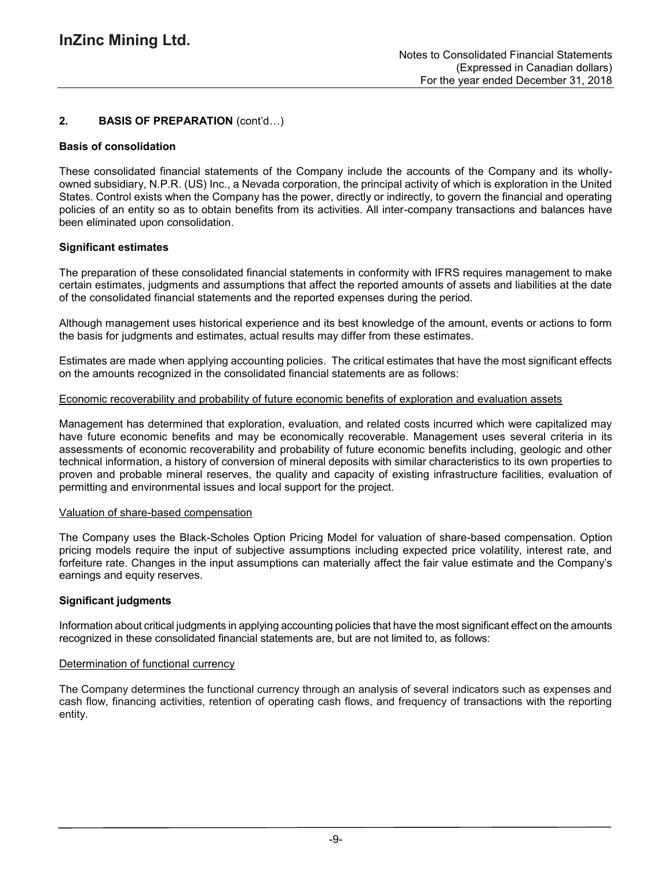## **2. BASIS OF PREPARATION** (cont'd…)

## **Basis of consolidation**

These consolidated financial statements of the Company include the accounts of the Company and its whollyowned subsidiary, N.P.R. (US) Inc., a Nevada corporation, the principal activity of which is exploration in the United States. Control exists when the Company has the power, directly or indirectly, to govern the financial and operating policies of an entity so as to obtain benefits from its activities. All inter-company transactions and balances have been eliminated upon consolidation.

## **Significant estimates**

The preparation of these consolidated financial statements in conformity with IFRS requires management to make certain estimates, judgments and assumptions that affect the reported amounts of assets and liabilities at the date of the consolidated financial statements and the reported expenses during the period.

Although management uses historical experience and its best knowledge of the amount, events or actions to form the basis for judgments and estimates, actual results may differ from these estimates.

Estimates are made when applying accounting policies. The critical estimates that have the most significant effects on the amounts recognized in the consolidated financial statements are as follows:

## Economic recoverability and probability of future economic benefits of exploration and evaluation assets

Management has determined that exploration, evaluation, and related costs incurred which were capitalized may have future economic benefits and may be economically recoverable. Management uses several criteria in its assessments of economic recoverability and probability of future economic benefits including, geologic and other technical information, a history of conversion of mineral deposits with similar characteristics to its own properties to proven and probable mineral reserves, the quality and capacity of existing infrastructure facilities, evaluation of permitting and environmental issues and local support for the project.

## Valuation of share-based compensation

The Company uses the Black-Scholes Option Pricing Model for valuation of share-based compensation. Option pricing models require the input of subjective assumptions including expected price volatility, interest rate, and forfeiture rate. Changes in the input assumptions can materially affect the fair value estimate and the Company's earnings and equity reserves.

## **Significant judgments**

Information about critical judgments in applying accounting policies that have the most significant effect on the amounts recognized in these consolidated financial statements are, but are not limited to, as follows:

## Determination of functional currency

The Company determines the functional currency through an analysis of several indicators such as expenses and cash flow, financing activities, retention of operating cash flows, and frequency of transactions with the reporting entity.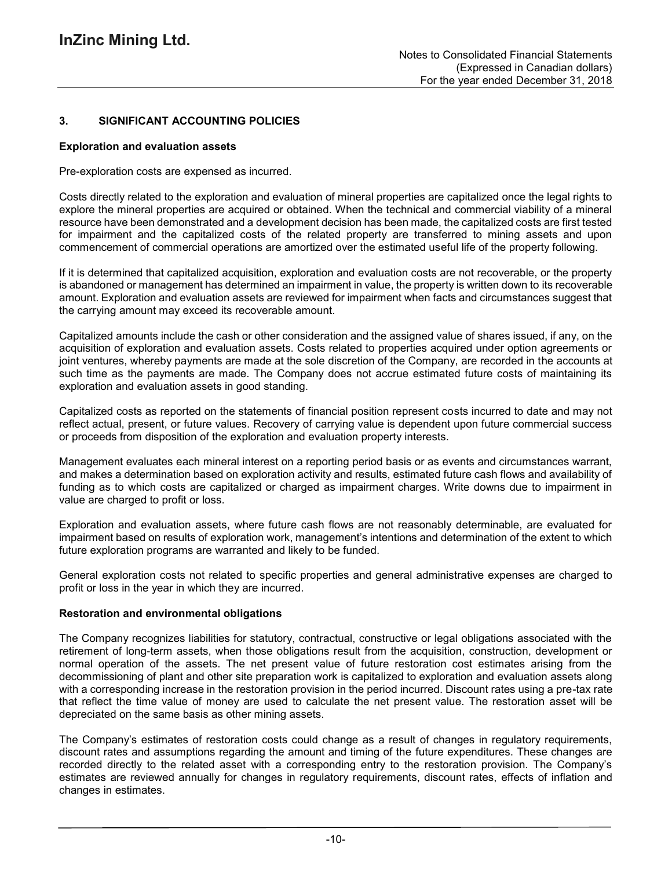## **3. SIGNIFICANT ACCOUNTING POLICIES**

## **Exploration and evaluation assets**

Pre-exploration costs are expensed as incurred.

Costs directly related to the exploration and evaluation of mineral properties are capitalized once the legal rights to explore the mineral properties are acquired or obtained. When the technical and commercial viability of a mineral resource have been demonstrated and a development decision has been made, the capitalized costs are first tested for impairment and the capitalized costs of the related property are transferred to mining assets and upon commencement of commercial operations are amortized over the estimated useful life of the property following.

If it is determined that capitalized acquisition, exploration and evaluation costs are not recoverable, or the property is abandoned or management has determined an impairment in value, the property is written down to its recoverable amount. Exploration and evaluation assets are reviewed for impairment when facts and circumstances suggest that the carrying amount may exceed its recoverable amount.

Capitalized amounts include the cash or other consideration and the assigned value of shares issued, if any, on the acquisition of exploration and evaluation assets. Costs related to properties acquired under option agreements or joint ventures, whereby payments are made at the sole discretion of the Company, are recorded in the accounts at such time as the payments are made. The Company does not accrue estimated future costs of maintaining its exploration and evaluation assets in good standing.

Capitalized costs as reported on the statements of financial position represent costs incurred to date and may not reflect actual, present, or future values. Recovery of carrying value is dependent upon future commercial success or proceeds from disposition of the exploration and evaluation property interests.

Management evaluates each mineral interest on a reporting period basis or as events and circumstances warrant, and makes a determination based on exploration activity and results, estimated future cash flows and availability of funding as to which costs are capitalized or charged as impairment charges. Write downs due to impairment in value are charged to profit or loss.

Exploration and evaluation assets, where future cash flows are not reasonably determinable, are evaluated for impairment based on results of exploration work, management's intentions and determination of the extent to which future exploration programs are warranted and likely to be funded.

General exploration costs not related to specific properties and general administrative expenses are charged to profit or loss in the year in which they are incurred.

## **Restoration and environmental obligations**

The Company recognizes liabilities for statutory, contractual, constructive or legal obligations associated with the retirement of long-term assets, when those obligations result from the acquisition, construction, development or normal operation of the assets. The net present value of future restoration cost estimates arising from the decommissioning of plant and other site preparation work is capitalized to exploration and evaluation assets along with a corresponding increase in the restoration provision in the period incurred. Discount rates using a pre-tax rate that reflect the time value of money are used to calculate the net present value. The restoration asset will be depreciated on the same basis as other mining assets.

The Company's estimates of restoration costs could change as a result of changes in regulatory requirements, discount rates and assumptions regarding the amount and timing of the future expenditures. These changes are recorded directly to the related asset with a corresponding entry to the restoration provision. The Company's estimates are reviewed annually for changes in regulatory requirements, discount rates, effects of inflation and changes in estimates.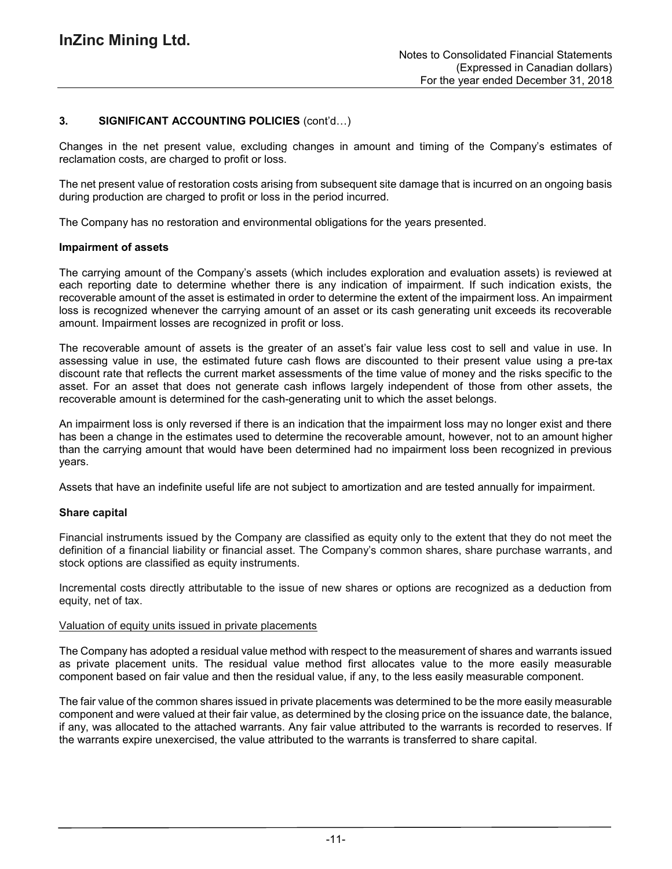Changes in the net present value, excluding changes in amount and timing of the Company's estimates of reclamation costs, are charged to profit or loss.

The net present value of restoration costs arising from subsequent site damage that is incurred on an ongoing basis during production are charged to profit or loss in the period incurred.

The Company has no restoration and environmental obligations for the years presented.

#### **Impairment of assets**

The carrying amount of the Company's assets (which includes exploration and evaluation assets) is reviewed at each reporting date to determine whether there is any indication of impairment. If such indication exists, the recoverable amount of the asset is estimated in order to determine the extent of the impairment loss. An impairment loss is recognized whenever the carrying amount of an asset or its cash generating unit exceeds its recoverable amount. Impairment losses are recognized in profit or loss.

The recoverable amount of assets is the greater of an asset's fair value less cost to sell and value in use. In assessing value in use, the estimated future cash flows are discounted to their present value using a pre-tax discount rate that reflects the current market assessments of the time value of money and the risks specific to the asset. For an asset that does not generate cash inflows largely independent of those from other assets, the recoverable amount is determined for the cash-generating unit to which the asset belongs.

An impairment loss is only reversed if there is an indication that the impairment loss may no longer exist and there has been a change in the estimates used to determine the recoverable amount, however, not to an amount higher than the carrying amount that would have been determined had no impairment loss been recognized in previous years.

Assets that have an indefinite useful life are not subject to amortization and are tested annually for impairment.

## **Share capital**

Financial instruments issued by the Company are classified as equity only to the extent that they do not meet the definition of a financial liability or financial asset. The Company's common shares, share purchase warrants, and stock options are classified as equity instruments.

Incremental costs directly attributable to the issue of new shares or options are recognized as a deduction from equity, net of tax.

#### Valuation of equity units issued in private placements

The Company has adopted a residual value method with respect to the measurement of shares and warrants issued as private placement units. The residual value method first allocates value to the more easily measurable component based on fair value and then the residual value, if any, to the less easily measurable component.

The fair value of the common shares issued in private placements was determined to be the more easily measurable component and were valued at their fair value, as determined by the closing price on the issuance date, the balance, if any, was allocated to the attached warrants. Any fair value attributed to the warrants is recorded to reserves. If the warrants expire unexercised, the value attributed to the warrants is transferred to share capital.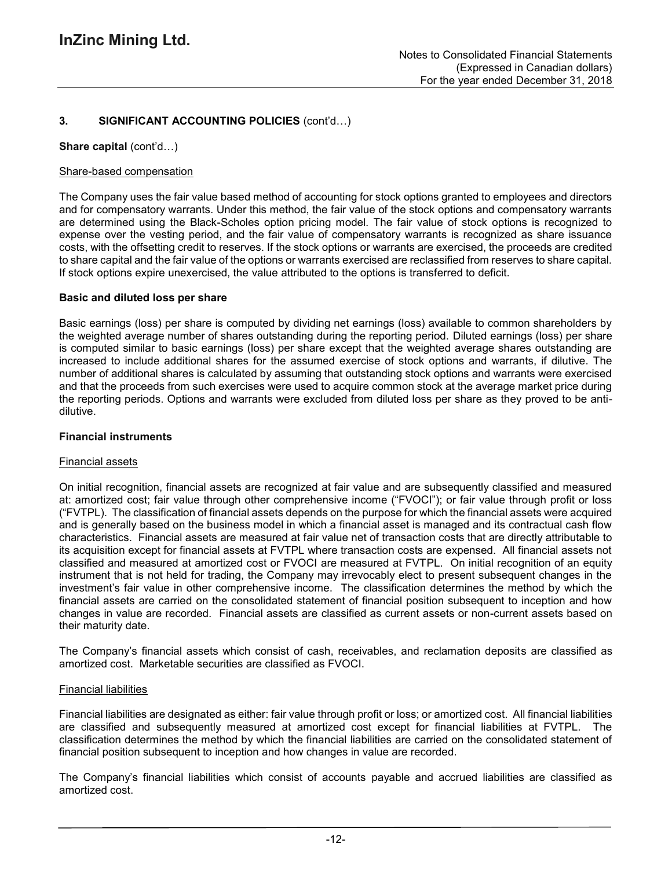**Share capital** (cont'd…)

## Share-based compensation

The Company uses the fair value based method of accounting for stock options granted to employees and directors and for compensatory warrants. Under this method, the fair value of the stock options and compensatory warrants are determined using the Black-Scholes option pricing model. The fair value of stock options is recognized to expense over the vesting period, and the fair value of compensatory warrants is recognized as share issuance costs, with the offsetting credit to reserves. If the stock options or warrants are exercised, the proceeds are credited to share capital and the fair value of the options or warrants exercised are reclassified from reserves to share capital. If stock options expire unexercised, the value attributed to the options is transferred to deficit.

## **Basic and diluted loss per share**

Basic earnings (loss) per share is computed by dividing net earnings (loss) available to common shareholders by the weighted average number of shares outstanding during the reporting period. Diluted earnings (loss) per share is computed similar to basic earnings (loss) per share except that the weighted average shares outstanding are increased to include additional shares for the assumed exercise of stock options and warrants, if dilutive. The number of additional shares is calculated by assuming that outstanding stock options and warrants were exercised and that the proceeds from such exercises were used to acquire common stock at the average market price during the reporting periods. Options and warrants were excluded from diluted loss per share as they proved to be antidilutive.

## **Financial instruments**

## Financial assets

On initial recognition, financial assets are recognized at fair value and are subsequently classified and measured at: amortized cost; fair value through other comprehensive income ("FVOCI"); or fair value through profit or loss ("FVTPL). The classification of financial assets depends on the purpose for which the financial assets were acquired and is generally based on the business model in which a financial asset is managed and its contractual cash flow characteristics. Financial assets are measured at fair value net of transaction costs that are directly attributable to its acquisition except for financial assets at FVTPL where transaction costs are expensed. All financial assets not classified and measured at amortized cost or FVOCI are measured at FVTPL. On initial recognition of an equity instrument that is not held for trading, the Company may irrevocably elect to present subsequent changes in the investment's fair value in other comprehensive income. The classification determines the method by which the financial assets are carried on the consolidated statement of financial position subsequent to inception and how changes in value are recorded. Financial assets are classified as current assets or non-current assets based on their maturity date.

The Company's financial assets which consist of cash, receivables, and reclamation deposits are classified as amortized cost. Marketable securities are classified as FVOCI.

## Financial liabilities

Financial liabilities are designated as either: fair value through profit or loss; or amortized cost. All financial liabilities are classified and subsequently measured at amortized cost except for financial liabilities at FVTPL. The classification determines the method by which the financial liabilities are carried on the consolidated statement of financial position subsequent to inception and how changes in value are recorded.

The Company's financial liabilities which consist of accounts payable and accrued liabilities are classified as amortized cost.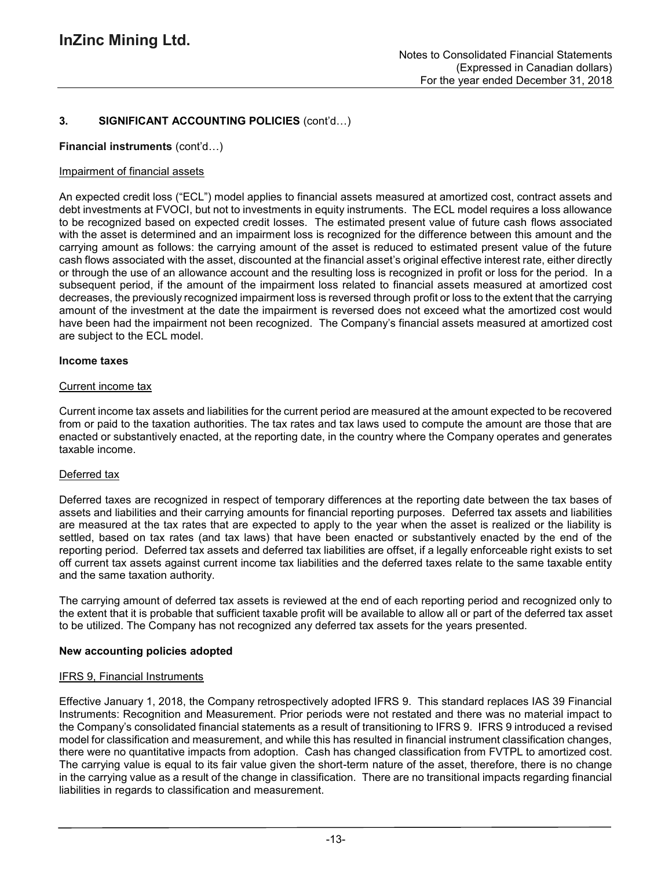## **Financial instruments** (cont'd…)

## Impairment of financial assets

An expected credit loss ("ECL") model applies to financial assets measured at amortized cost, contract assets and debt investments at FVOCI, but not to investments in equity instruments. The ECL model requires a loss allowance to be recognized based on expected credit losses. The estimated present value of future cash flows associated with the asset is determined and an impairment loss is recognized for the difference between this amount and the carrying amount as follows: the carrying amount of the asset is reduced to estimated present value of the future cash flows associated with the asset, discounted at the financial asset's original effective interest rate, either directly or through the use of an allowance account and the resulting loss is recognized in profit or loss for the period. In a subsequent period, if the amount of the impairment loss related to financial assets measured at amortized cost decreases, the previously recognized impairment loss is reversed through profit or loss to the extent that the carrying amount of the investment at the date the impairment is reversed does not exceed what the amortized cost would have been had the impairment not been recognized. The Company's financial assets measured at amortized cost are subject to the ECL model.

## **Income taxes**

## Current income tax

Current income tax assets and liabilities for the current period are measured at the amount expected to be recovered from or paid to the taxation authorities. The tax rates and tax laws used to compute the amount are those that are enacted or substantively enacted, at the reporting date, in the country where the Company operates and generates taxable income.

## Deferred tax

Deferred taxes are recognized in respect of temporary differences at the reporting date between the tax bases of assets and liabilities and their carrying amounts for financial reporting purposes. Deferred tax assets and liabilities are measured at the tax rates that are expected to apply to the year when the asset is realized or the liability is settled, based on tax rates (and tax laws) that have been enacted or substantively enacted by the end of the reporting period. Deferred tax assets and deferred tax liabilities are offset, if a legally enforceable right exists to set off current tax assets against current income tax liabilities and the deferred taxes relate to the same taxable entity and the same taxation authority.

The carrying amount of deferred tax assets is reviewed at the end of each reporting period and recognized only to the extent that it is probable that sufficient taxable profit will be available to allow all or part of the deferred tax asset to be utilized. The Company has not recognized any deferred tax assets for the years presented.

## **New accounting policies adopted**

## IFRS 9, Financial Instruments

Effective January 1, 2018, the Company retrospectively adopted IFRS 9. This standard replaces IAS 39 Financial Instruments: Recognition and Measurement. Prior periods were not restated and there was no material impact to the Company's consolidated financial statements as a result of transitioning to IFRS 9. IFRS 9 introduced a revised model for classification and measurement, and while this has resulted in financial instrument classification changes, there were no quantitative impacts from adoption. Cash has changed classification from FVTPL to amortized cost. The carrying value is equal to its fair value given the short-term nature of the asset, therefore, there is no change in the carrying value as a result of the change in classification. There are no transitional impacts regarding financial liabilities in regards to classification and measurement.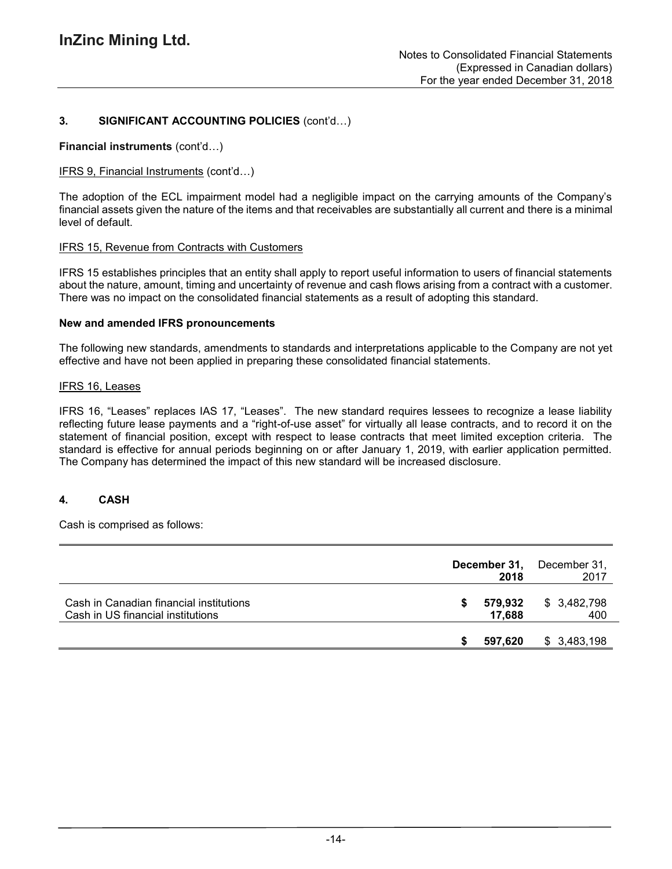## **Financial instruments** (cont'd…)

## IFRS 9, Financial Instruments (cont'd…)

The adoption of the ECL impairment model had a negligible impact on the carrying amounts of the Company's financial assets given the nature of the items and that receivables are substantially all current and there is a minimal level of default.

## IFRS 15, Revenue from Contracts with Customers

IFRS 15 establishes principles that an entity shall apply to report useful information to users of financial statements about the nature, amount, timing and uncertainty of revenue and cash flows arising from a contract with a customer. There was no impact on the consolidated financial statements as a result of adopting this standard.

## **New and amended IFRS pronouncements**

The following new standards, amendments to standards and interpretations applicable to the Company are not yet effective and have not been applied in preparing these consolidated financial statements.

## IFRS 16, Leases

IFRS 16, "Leases" replaces IAS 17, "Leases". The new standard requires lessees to recognize a lease liability reflecting future lease payments and a "right-of-use asset" for virtually all lease contracts, and to record it on the statement of financial position, except with respect to lease contracts that meet limited exception criteria. The standard is effective for annual periods beginning on or after January 1, 2019, with earlier application permitted. The Company has determined the impact of this new standard will be increased disclosure.

## **4. CASH**

Cash is comprised as follows:

|                                                                              | December 31,<br>2018 | December 31,<br>2017 |
|------------------------------------------------------------------------------|----------------------|----------------------|
| Cash in Canadian financial institutions<br>Cash in US financial institutions | 579,932<br>17,688    | \$ 3,482,798<br>400  |
|                                                                              | 597.620              | \$3,483,198          |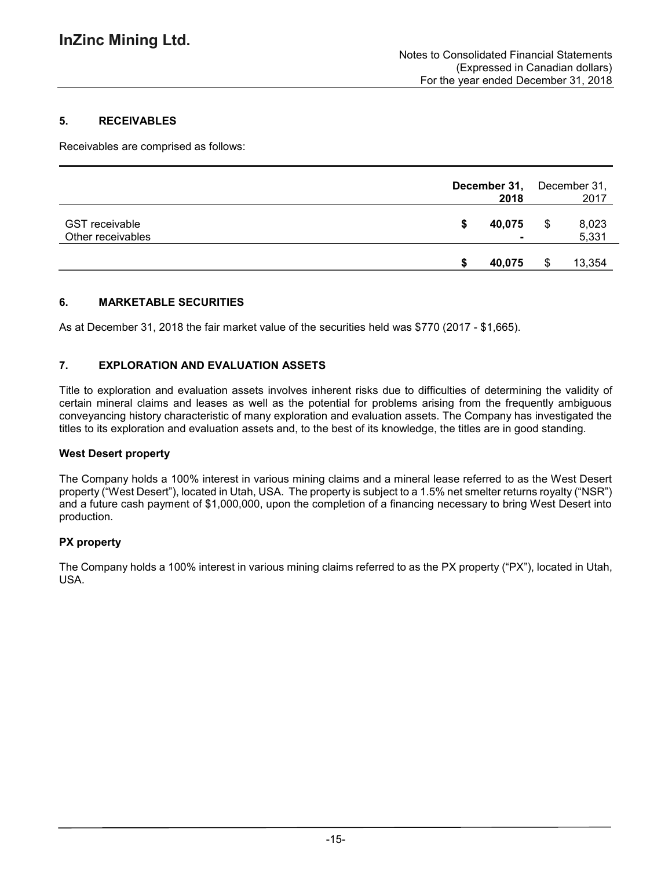# **5. RECEIVABLES**

Receivables are comprised as follows:

|                                            | December 31,<br>2018 |                          | December 31,<br>2017 |
|--------------------------------------------|----------------------|--------------------------|----------------------|
| <b>GST</b> receivable<br>Other receivables | 40,075<br>S          | $\overline{\phantom{0}}$ | \$<br>8,023<br>5,331 |
|                                            | 40,075               |                          | 13,354               |

## **6. MARKETABLE SECURITIES**

As at December 31, 2018 the fair market value of the securities held was \$770 (2017 - \$1,665).

## **7. EXPLORATION AND EVALUATION ASSETS**

Title to exploration and evaluation assets involves inherent risks due to difficulties of determining the validity of certain mineral claims and leases as well as the potential for problems arising from the frequently ambiguous conveyancing history characteristic of many exploration and evaluation assets. The Company has investigated the titles to its exploration and evaluation assets and, to the best of its knowledge, the titles are in good standing.

## **West Desert property**

The Company holds a 100% interest in various mining claims and a mineral lease referred to as the West Desert property ("West Desert"), located in Utah, USA. The property is subject to a 1.5% net smelter returns royalty ("NSR") and a future cash payment of \$1,000,000, upon the completion of a financing necessary to bring West Desert into production.

## **PX property**

The Company holds a 100% interest in various mining claims referred to as the PX property ("PX"), located in Utah, USA.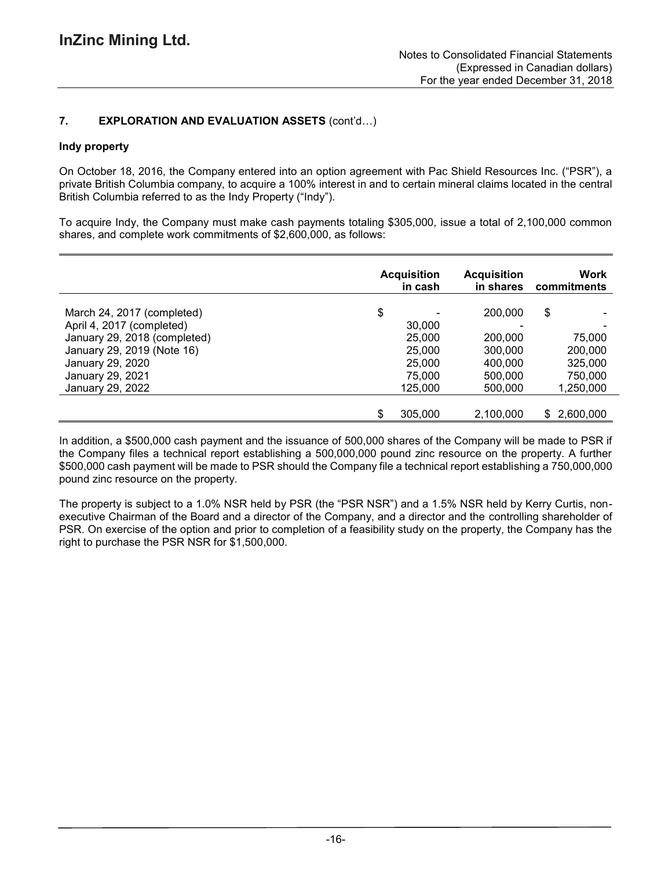## **7. EXPLORATION AND EVALUATION ASSETS** (cont'd…)

## **Indy property**

On October 18, 2016, the Company entered into an option agreement with Pac Shield Resources Inc. ("PSR"), a private British Columbia company, to acquire a 100% interest in and to certain mineral claims located in the central British Columbia referred to as the Indy Property ("Indy").

To acquire Indy, the Company must make cash payments totaling \$305,000, issue a total of 2,100,000 common shares, and complete work commitments of \$2,600,000, as follows:

|                              | <b>Acquisition</b><br>in cash | <b>Acquisition</b><br>in shares | Work<br>commitments |
|------------------------------|-------------------------------|---------------------------------|---------------------|
| March 24, 2017 (completed)   | \$                            | 200,000                         | \$                  |
| April 4, 2017 (completed)    | 30,000                        |                                 |                     |
| January 29, 2018 (completed) | 25,000                        | 200,000                         | 75,000              |
| January 29, 2019 (Note 16)   | 25,000                        | 300,000                         | 200,000             |
| January 29, 2020             | 25,000                        | 400,000                         | 325,000             |
| January 29, 2021             | 75,000                        | 500,000                         | 750,000             |
| January 29, 2022             | 125,000                       | 500,000                         | 1,250,000           |
|                              | \$<br>305,000                 | 2,100,000                       | 2,600,000<br>SS.    |

In addition, a \$500,000 cash payment and the issuance of 500,000 shares of the Company will be made to PSR if the Company files a technical report establishing a 500,000,000 pound zinc resource on the property. A further \$500,000 cash payment will be made to PSR should the Company file a technical report establishing a 750,000,000 pound zinc resource on the property.

The property is subject to a 1.0% NSR held by PSR (the "PSR NSR") and a 1.5% NSR held by Kerry Curtis, nonexecutive Chairman of the Board and a director of the Company, and a director and the controlling shareholder of PSR. On exercise of the option and prior to completion of a feasibility study on the property, the Company has the right to purchase the PSR NSR for \$1,500,000.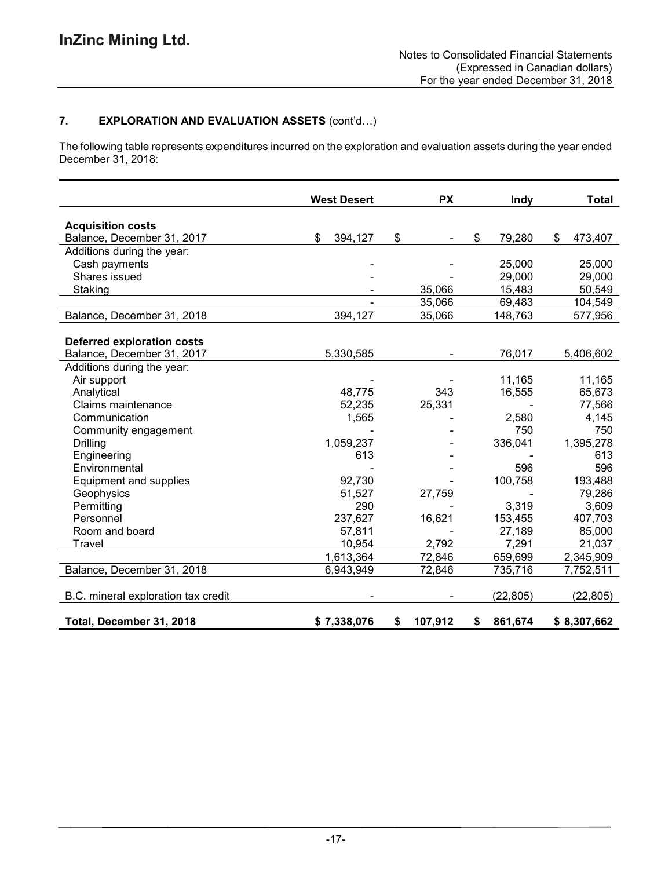# **7. EXPLORATION AND EVALUATION ASSETS** (cont'd…)

The following table represents expenditures incurred on the exploration and evaluation assets during the year ended December 31, 2018:

|                                                        | <b>West Desert</b>        | <b>PX</b>     | Indy          | <b>Total</b>  |
|--------------------------------------------------------|---------------------------|---------------|---------------|---------------|
|                                                        |                           |               |               |               |
| <b>Acquisition costs</b><br>Balance, December 31, 2017 | $\mathfrak{S}$<br>394,127 | \$            | \$<br>79,280  | \$<br>473,407 |
| Additions during the year:                             |                           |               |               |               |
| Cash payments                                          |                           |               | 25,000        | 25,000        |
| Shares issued                                          |                           |               | 29,000        | 29,000        |
| Staking                                                |                           | 35,066        | 15,483        | 50,549        |
|                                                        |                           | 35,066        | 69,483        | 104,549       |
| Balance, December 31, 2018                             | 394,127                   | 35,066        | 148,763       | 577,956       |
|                                                        |                           |               |               |               |
| <b>Deferred exploration costs</b>                      |                           |               |               |               |
| Balance, December 31, 2017                             | 5,330,585                 |               | 76,017        | 5,406,602     |
| Additions during the year:                             |                           |               |               |               |
| Air support                                            |                           |               | 11,165        | 11,165        |
| Analytical                                             | 48,775                    | 343           | 16,555        | 65,673        |
| Claims maintenance                                     | 52,235                    | 25,331        |               | 77,566        |
| Communication                                          | 1,565                     |               | 2,580         | 4,145         |
| Community engagement                                   |                           |               | 750           | 750           |
| <b>Drilling</b>                                        | 1,059,237                 |               | 336,041       | 1,395,278     |
| Engineering                                            | 613                       |               |               | 613           |
| Environmental                                          |                           |               | 596           | 596           |
| Equipment and supplies                                 | 92,730                    |               | 100,758       | 193,488       |
| Geophysics                                             | 51,527                    | 27,759        |               | 79,286        |
| Permitting                                             | 290                       |               | 3,319         | 3,609         |
| Personnel                                              | 237,627                   | 16,621        | 153,455       | 407,703       |
| Room and board                                         | 57,811                    |               | 27,189        | 85,000        |
| <b>Travel</b>                                          | 10,954                    | 2,792         | 7,291         | 21,037        |
|                                                        | 1,613,364                 | 72,846        | 659,699       | 2,345,909     |
| Balance, December 31, 2018                             | 6,943,949                 | 72,846        | 735,716       | 7,752,511     |
| B.C. mineral exploration tax credit                    |                           |               | (22, 805)     | (22, 805)     |
| Total, December 31, 2018                               | \$7,338,076               | 107,912<br>\$ | 861,674<br>\$ | \$8,307,662   |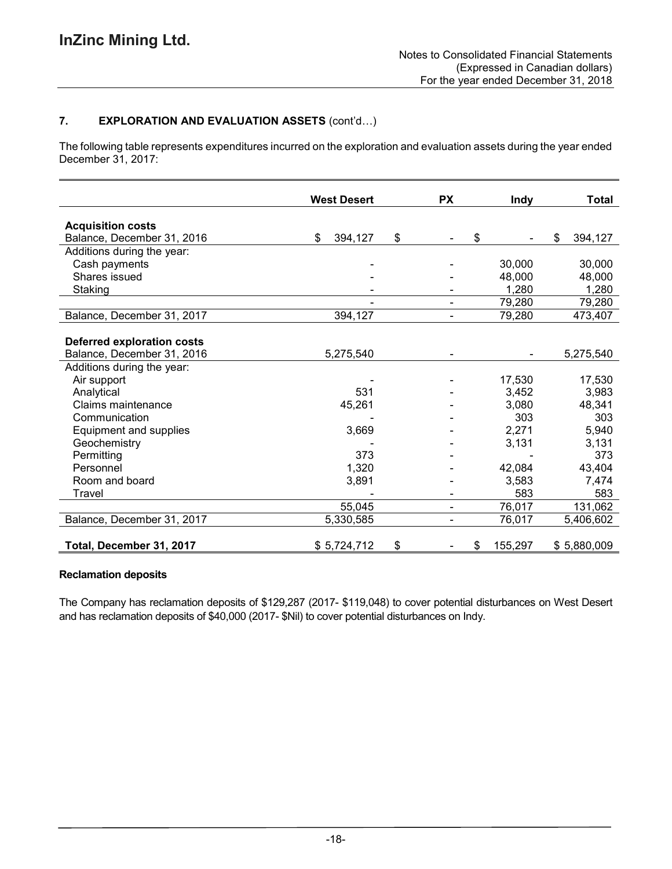# **7. EXPLORATION AND EVALUATION ASSETS** (cont'd…)

The following table represents expenditures incurred on the exploration and evaluation assets during the year ended December 31, 2017:

|                                                        | <b>West Desert</b> | <b>PX</b>                | <b>Indy</b>   | <b>Total</b>  |
|--------------------------------------------------------|--------------------|--------------------------|---------------|---------------|
|                                                        |                    |                          |               |               |
| <b>Acquisition costs</b><br>Balance, December 31, 2016 | \$<br>394,127      | \$                       | \$            | \$<br>394,127 |
|                                                        |                    |                          |               |               |
| Additions during the year:                             |                    |                          | 30,000        | 30,000        |
| Cash payments                                          |                    |                          |               |               |
| Shares issued                                          |                    |                          | 48,000        | 48,000        |
| Staking                                                |                    |                          | 1,280         | 1,280         |
|                                                        |                    |                          | 79,280        | 79,280        |
| Balance, December 31, 2017                             | 394,127            |                          | 79,280        | 473,407       |
|                                                        |                    |                          |               |               |
| <b>Deferred exploration costs</b>                      |                    |                          |               |               |
| Balance, December 31, 2016                             | 5,275,540          |                          |               | 5,275,540     |
| Additions during the year:                             |                    |                          |               |               |
| Air support                                            |                    |                          | 17,530        | 17,530        |
| Analytical                                             | 531                |                          | 3,452         | 3,983         |
| Claims maintenance                                     | 45,261             |                          | 3,080         | 48,341        |
| Communication                                          |                    |                          | 303           | 303           |
| Equipment and supplies                                 | 3,669              |                          | 2,271         | 5,940         |
| Geochemistry                                           |                    |                          | 3,131         | 3,131         |
| Permitting                                             | 373                |                          |               | 373           |
| Personnel                                              | 1,320              |                          | 42,084        | 43,404        |
| Room and board                                         | 3,891              |                          | 3,583         | 7,474         |
| Travel                                                 |                    |                          | 583           | 583           |
|                                                        | 55,045             | $\overline{\phantom{0}}$ | 76,017        | 131,062       |
| Balance, December 31, 2017                             | 5,330,585          |                          | 76,017        | 5,406,602     |
|                                                        |                    |                          |               |               |
| Total, December 31, 2017                               | \$5,724,712        | \$                       | 155,297<br>\$ | \$5,880,009   |

## **Reclamation deposits**

The Company has reclamation deposits of \$129,287 (2017- \$119,048) to cover potential disturbances on West Desert and has reclamation deposits of \$40,000 (2017- \$Nil) to cover potential disturbances on Indy.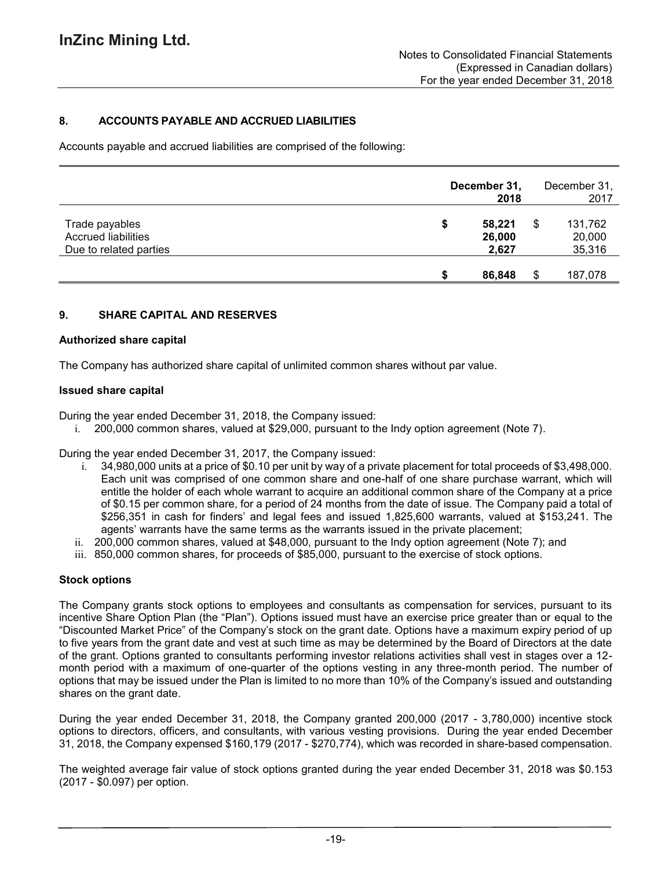## **8. ACCOUNTS PAYABLE AND ACCRUED LIABILITIES**

Accounts payable and accrued liabilities are comprised of the following:

|                                                                        |    | December 31,<br>2018      |    | December 31,<br>2017        |
|------------------------------------------------------------------------|----|---------------------------|----|-----------------------------|
| Trade payables<br><b>Accrued liabilities</b><br>Due to related parties | \$ | 58,221<br>26,000<br>2,627 | \$ | 131,762<br>20,000<br>35,316 |
|                                                                        | œ  | 86,848                    | S. | 187,078                     |

## **9. SHARE CAPITAL AND RESERVES**

#### **Authorized share capital**

The Company has authorized share capital of unlimited common shares without par value.

## **Issued share capital**

During the year ended December 31, 2018, the Company issued:

i. 200,000 common shares, valued at \$29,000, pursuant to the Indy option agreement (Note 7).

During the year ended December 31, 2017, the Company issued:

- i. 34,980,000 units at a price of \$0.10 per unit by way of a private placement for total proceeds of \$3,498,000. Each unit was comprised of one common share and one-half of one share purchase warrant, which will entitle the holder of each whole warrant to acquire an additional common share of the Company at a price of \$0.15 per common share, for a period of 24 months from the date of issue. The Company paid a total of \$256,351 in cash for finders' and legal fees and issued 1,825,600 warrants, valued at \$153,241. The agents' warrants have the same terms as the warrants issued in the private placement;
- ii. 200,000 common shares, valued at \$48,000, pursuant to the Indy option agreement (Note 7); and
- iii. 850,000 common shares, for proceeds of \$85,000, pursuant to the exercise of stock options.

## **Stock options**

The Company grants stock options to employees and consultants as compensation for services, pursuant to its incentive Share Option Plan (the "Plan"). Options issued must have an exercise price greater than or equal to the "Discounted Market Price" of the Company's stock on the grant date. Options have a maximum expiry period of up to five years from the grant date and vest at such time as may be determined by the Board of Directors at the date of the grant. Options granted to consultants performing investor relations activities shall vest in stages over a 12 month period with a maximum of one-quarter of the options vesting in any three-month period. The number of options that may be issued under the Plan is limited to no more than 10% of the Company's issued and outstanding shares on the grant date.

During the year ended December 31, 2018, the Company granted 200,000 (2017 - 3,780,000) incentive stock options to directors, officers, and consultants, with various vesting provisions. During the year ended December 31, 2018, the Company expensed \$160,179 (2017 - \$270,774), which was recorded in share-based compensation.

The weighted average fair value of stock options granted during the year ended December 31, 2018 was \$0.153 (2017 - \$0.097) per option.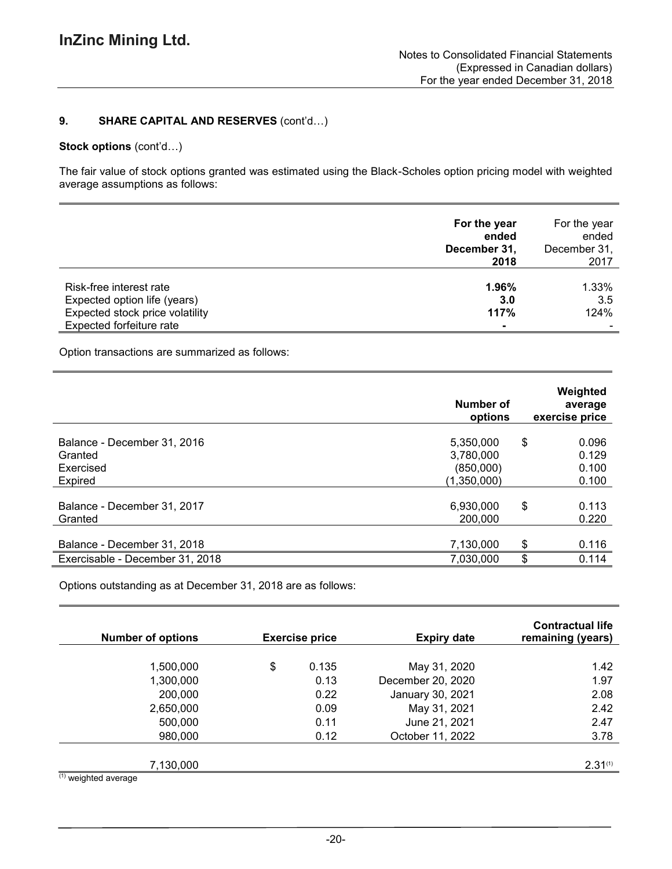## **9. SHARE CAPITAL AND RESERVES** (cont'd…)

## **Stock options** (cont'd…)

The fair value of stock options granted was estimated using the Black-Scholes option pricing model with weighted average assumptions as follows:

|                                                                                            | For the year<br>ended<br>December 31,<br>2018 | For the year<br>ended<br>December 31,<br>2017 |
|--------------------------------------------------------------------------------------------|-----------------------------------------------|-----------------------------------------------|
| Risk-free interest rate<br>Expected option life (years)<br>Expected stock price volatility | 1.96%<br>3.0<br>117%                          | 1.33%<br>3.5<br>124%                          |
| Expected forfeiture rate                                                                   | ۰                                             |                                               |

Option transactions are summarized as follows:

|                                                                | Number of<br>options                               | Weighted<br>average<br>exercise price  |
|----------------------------------------------------------------|----------------------------------------------------|----------------------------------------|
| Balance - December 31, 2016<br>Granted<br>Exercised<br>Expired | 5,350,000<br>3,780,000<br>(850,000)<br>(1,350,000) | \$<br>0.096<br>0.129<br>0.100<br>0.100 |
| Balance - December 31, 2017<br>Granted                         | 6,930,000<br>200,000                               | \$<br>0.113<br>0.220                   |
| Balance - December 31, 2018<br>Exercisable - December 31, 2018 | 7,130,000<br>7,030,000                             | \$<br>0.116<br>\$<br>0.114             |

Options outstanding as at December 31, 2018 are as follows:

| <b>Number of options</b>       | <b>Exercise price</b> | <b>Expiry date</b> | <b>Contractual life</b><br>remaining (years) |
|--------------------------------|-----------------------|--------------------|----------------------------------------------|
|                                |                       |                    |                                              |
| 1,500,000                      | \$<br>0.135           | May 31, 2020       | 1.42                                         |
| 1,300,000                      | 0.13                  | December 20, 2020  | 1.97                                         |
| 200,000                        | 0.22                  | January 30, 2021   | 2.08                                         |
| 2,650,000                      | 0.09                  | May 31, 2021       | 2.42                                         |
| 500,000                        | 0.11                  | June 21, 2021      | 2.47                                         |
| 980,000                        | 0.12                  | October 11, 2022   | 3.78                                         |
|                                |                       |                    |                                              |
| 7,130,000                      |                       |                    | 2.31(1)                                      |
| $(1)$ contribution of $\alpha$ |                       |                    |                                              |

(1) weighted average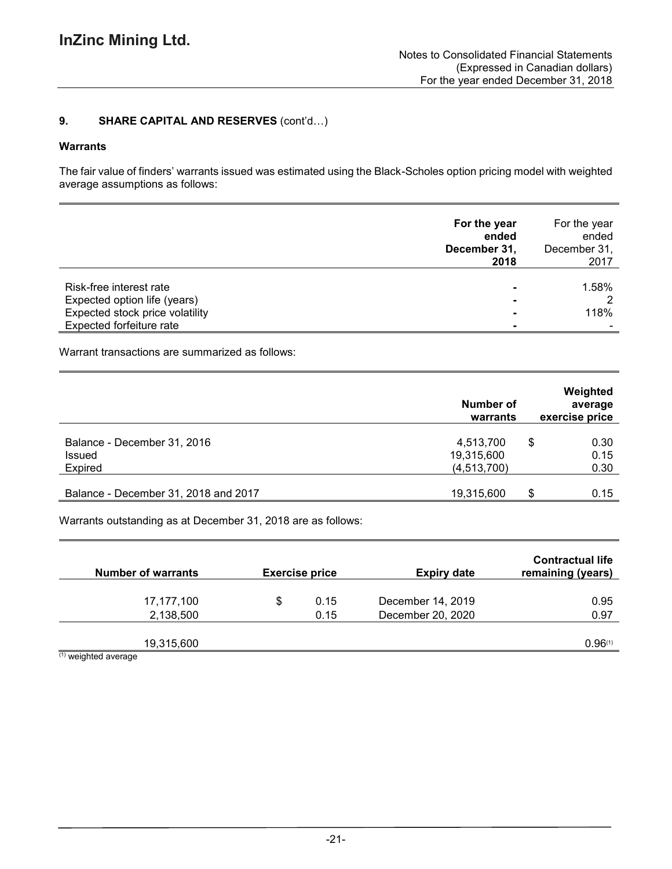# **9. SHARE CAPITAL AND RESERVES** (cont'd…)

## **Warrants**

The fair value of finders' warrants issued was estimated using the Black-Scholes option pricing model with weighted average assumptions as follows:

|                                                                                            | For the year<br>ended<br>December 31,<br>2018                          | For the year<br>ended<br>December 31,<br>2017 |
|--------------------------------------------------------------------------------------------|------------------------------------------------------------------------|-----------------------------------------------|
| Risk-free interest rate<br>Expected option life (years)<br>Expected stock price volatility | $\blacksquare$<br>$\overline{\phantom{0}}$<br>$\overline{\phantom{0}}$ | 1.58%<br>118%                                 |
| Expected forfeiture rate                                                                   |                                                                        |                                               |

Warrant transactions are summarized as follows:

|                                      | Number of<br>warrants     | Weighted<br>average<br>exercise price |
|--------------------------------------|---------------------------|---------------------------------------|
| Balance - December 31, 2016          | 4,513,700                 | 0.30<br>S                             |
| <b>Issued</b><br>Expired             | 19,315,600<br>(4,513,700) | 0.15<br>0.30                          |
| Balance - December 31, 2018 and 2017 | 19,315,600                | \$<br>0.15                            |

Warrants outstanding as at December 31, 2018 are as follows:

| <b>Number of warrants</b> |            | <b>Exercise price</b> | <b>Expiry date</b> | <b>Contractual life</b><br>remaining (years) |
|---------------------------|------------|-----------------------|--------------------|----------------------------------------------|
|                           |            |                       |                    |                                              |
|                           | 17,177,100 | \$<br>0.15            | December 14, 2019  | 0.95                                         |
|                           | 2,138,500  | 0.15                  | December 20, 2020  | 0.97                                         |
|                           |            |                       |                    |                                              |
|                           | 19,315,600 |                       |                    | 0.96(1)                                      |
| $(4)$ $\cdots$            |            |                       |                    |                                              |

 $(1)$  weighted average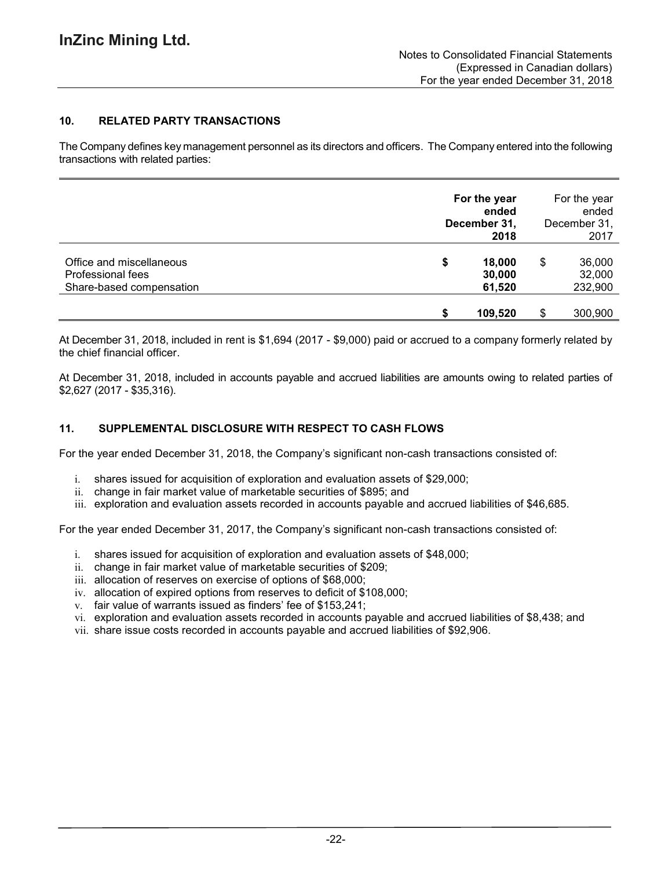# **10. RELATED PARTY TRANSACTIONS**

The Company defines key management personnel as its directors and officers. The Company entered into the following transactions with related parties:

|                                                                           | For the year<br>ended<br>December 31,<br>2018 | For the year<br>ended<br>December 31,<br>2017 |                             |
|---------------------------------------------------------------------------|-----------------------------------------------|-----------------------------------------------|-----------------------------|
| Office and miscellaneous<br>Professional fees<br>Share-based compensation | \$<br>18,000<br>30,000<br>61,520              | \$                                            | 36,000<br>32,000<br>232,900 |
|                                                                           | 109,520                                       |                                               | 300,900                     |

At December 31, 2018, included in rent is \$1,694 (2017 - \$9,000) paid or accrued to a company formerly related by the chief financial officer.

At December 31, 2018, included in accounts payable and accrued liabilities are amounts owing to related parties of \$2,627 (2017 - \$35,316).

## **11. SUPPLEMENTAL DISCLOSURE WITH RESPECT TO CASH FLOWS**

For the year ended December 31, 2018, the Company's significant non-cash transactions consisted of:

- i. shares issued for acquisition of exploration and evaluation assets of \$29,000;
- ii. change in fair market value of marketable securities of \$895; and
- iii. exploration and evaluation assets recorded in accounts payable and accrued liabilities of \$46,685.

For the year ended December 31, 2017, the Company's significant non-cash transactions consisted of:

- i. shares issued for acquisition of exploration and evaluation assets of \$48,000;
- ii. change in fair market value of marketable securities of \$209;
- iii. allocation of reserves on exercise of options of \$68,000;
- iv. allocation of expired options from reserves to deficit of \$108,000;
- v. fair value of warrants issued as finders' fee of \$153,241;
- vi. exploration and evaluation assets recorded in accounts payable and accrued liabilities of \$8,438; and
- vii. share issue costs recorded in accounts payable and accrued liabilities of \$92,906.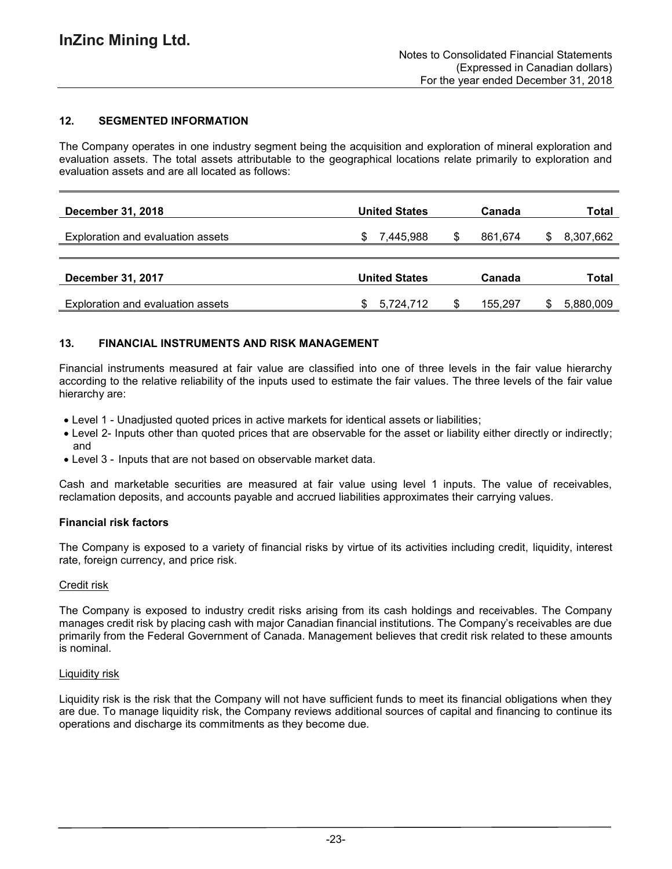## **12. SEGMENTED INFORMATION**

The Company operates in one industry segment being the acquisition and exploration of mineral exploration and evaluation assets. The total assets attributable to the geographical locations relate primarily to exploration and evaluation assets and are all located as follows:

| <b>December 31, 2018</b>          | <b>United States</b> | Canada        | Total     |
|-----------------------------------|----------------------|---------------|-----------|
| Exploration and evaluation assets | 7,445,988            | 861,674<br>\$ | 8,307,662 |
|                                   |                      |               |           |
| <b>December 31, 2017</b>          | <b>United States</b> | Canada        | Total     |
| Exploration and evaluation assets | 5,724,712            | 155,297       | 5,880,009 |

## **13. FINANCIAL INSTRUMENTS AND RISK MANAGEMENT**

Financial instruments measured at fair value are classified into one of three levels in the fair value hierarchy according to the relative reliability of the inputs used to estimate the fair values. The three levels of the fair value hierarchy are:

- Level 1 Unadjusted quoted prices in active markets for identical assets or liabilities;
- Level 2- Inputs other than quoted prices that are observable for the asset or liability either directly or indirectly; and
- Level 3 Inputs that are not based on observable market data.

Cash and marketable securities are measured at fair value using level 1 inputs. The value of receivables, reclamation deposits, and accounts payable and accrued liabilities approximates their carrying values.

## **Financial risk factors**

The Company is exposed to a variety of financial risks by virtue of its activities including credit, liquidity, interest rate, foreign currency, and price risk.

## Credit risk

The Company is exposed to industry credit risks arising from its cash holdings and receivables. The Company manages credit risk by placing cash with major Canadian financial institutions. The Company's receivables are due primarily from the Federal Government of Canada. Management believes that credit risk related to these amounts is nominal.

## Liquidity risk

Liquidity risk is the risk that the Company will not have sufficient funds to meet its financial obligations when they are due. To manage liquidity risk, the Company reviews additional sources of capital and financing to continue its operations and discharge its commitments as they become due.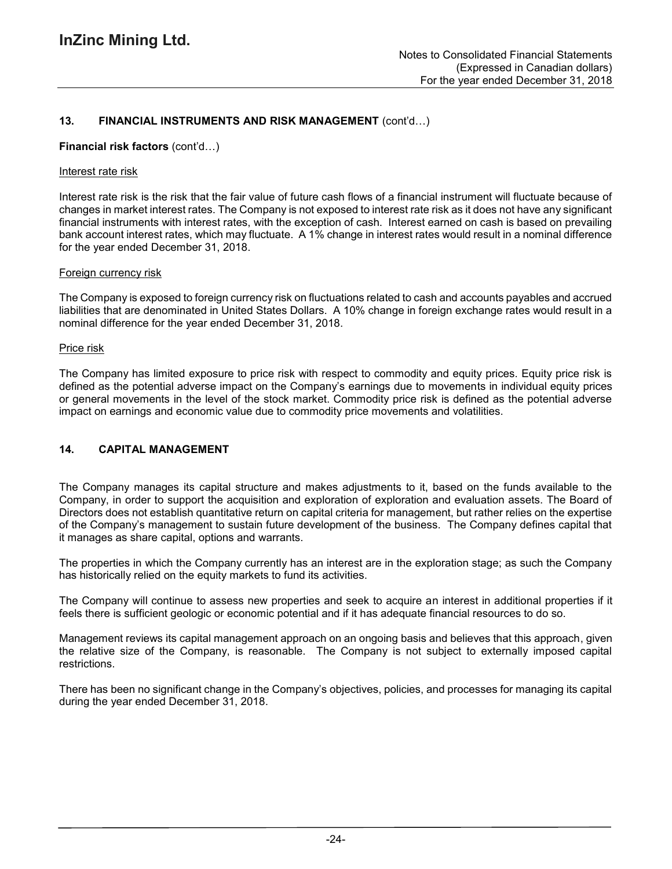## **13. FINANCIAL INSTRUMENTS AND RISK MANAGEMENT** (cont'd…)

## **Financial risk factors** (cont'd…)

## Interest rate risk

Interest rate risk is the risk that the fair value of future cash flows of a financial instrument will fluctuate because of changes in market interest rates. The Company is not exposed to interest rate risk as it does not have any significant financial instruments with interest rates, with the exception of cash. Interest earned on cash is based on prevailing bank account interest rates, which may fluctuate. A 1% change in interest rates would result in a nominal difference for the year ended December 31, 2018.

## Foreign currency risk

The Company is exposed to foreign currency risk on fluctuations related to cash and accounts payables and accrued liabilities that are denominated in United States Dollars. A 10% change in foreign exchange rates would result in a nominal difference for the year ended December 31, 2018.

## Price risk

The Company has limited exposure to price risk with respect to commodity and equity prices. Equity price risk is defined as the potential adverse impact on the Company's earnings due to movements in individual equity prices or general movements in the level of the stock market. Commodity price risk is defined as the potential adverse impact on earnings and economic value due to commodity price movements and volatilities.

## **14. CAPITAL MANAGEMENT**

The Company manages its capital structure and makes adjustments to it, based on the funds available to the Company, in order to support the acquisition and exploration of exploration and evaluation assets. The Board of Directors does not establish quantitative return on capital criteria for management, but rather relies on the expertise of the Company's management to sustain future development of the business. The Company defines capital that it manages as share capital, options and warrants.

The properties in which the Company currently has an interest are in the exploration stage; as such the Company has historically relied on the equity markets to fund its activities.

The Company will continue to assess new properties and seek to acquire an interest in additional properties if it feels there is sufficient geologic or economic potential and if it has adequate financial resources to do so.

Management reviews its capital management approach on an ongoing basis and believes that this approach, given the relative size of the Company, is reasonable. The Company is not subject to externally imposed capital restrictions.

There has been no significant change in the Company's objectives, policies, and processes for managing its capital during the year ended December 31, 2018.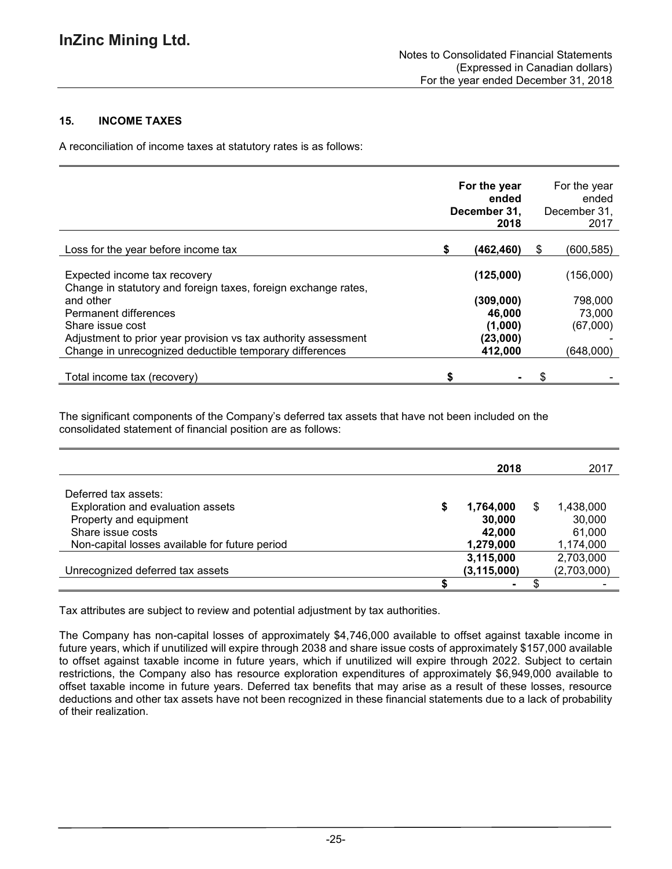# **15. INCOME TAXES**

A reconciliation of income taxes at statutory rates is as follows:

|                                                                                                |    | For the year<br>ended<br>December 31,<br>2018 | For the year<br>ended<br>December 31,<br>2017 |
|------------------------------------------------------------------------------------------------|----|-----------------------------------------------|-----------------------------------------------|
| Loss for the year before income tax                                                            | S  | (462,460)                                     | \$<br>(600,585)                               |
| Expected income tax recovery<br>Change in statutory and foreign taxes, foreign exchange rates, |    | (125,000)                                     | (156,000)                                     |
| and other                                                                                      |    | (309,000)                                     | 798,000                                       |
| Permanent differences                                                                          |    | 46,000                                        | 73,000                                        |
| Share issue cost                                                                               |    | (1,000)                                       | (67,000)                                      |
| Adjustment to prior year provision vs tax authority assessment                                 |    | (23,000)                                      |                                               |
| Change in unrecognized deductible temporary differences                                        |    | 412,000                                       | (648,000)                                     |
| Total income tax (recovery)                                                                    | \$ |                                               |                                               |

The significant components of the Company's deferred tax assets that have not been included on the consolidated statement of financial position are as follows:

|                                                | 2018          |   | 2017        |  |
|------------------------------------------------|---------------|---|-------------|--|
| Deferred tax assets:                           |               |   |             |  |
| Exploration and evaluation assets              | 1,764,000     | S | 1,438,000   |  |
| Property and equipment                         | 30,000        |   | 30,000      |  |
| Share issue costs                              | 42.000        |   | 61,000      |  |
| Non-capital losses available for future period | 1,279,000     |   | 1,174,000   |  |
|                                                | 3,115,000     |   | 2,703,000   |  |
| Unrecognized deferred tax assets               | (3, 115, 000) |   | (2,703,000) |  |
|                                                |               |   |             |  |

Tax attributes are subject to review and potential adjustment by tax authorities.

The Company has non-capital losses of approximately \$4,746,000 available to offset against taxable income in future years, which if unutilized will expire through 2038 and share issue costs of approximately \$157,000 available to offset against taxable income in future years, which if unutilized will expire through 2022. Subject to certain restrictions, the Company also has resource exploration expenditures of approximately \$6,949,000 available to offset taxable income in future years. Deferred tax benefits that may arise as a result of these losses, resource deductions and other tax assets have not been recognized in these financial statements due to a lack of probability of their realization.